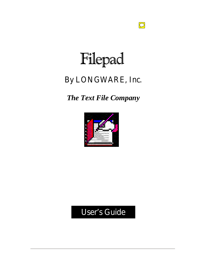# Filepad

 $\boxed{\bigcirc}$ 

### By LONGWARE, Inc.

*The Text File Company*



### User's Guide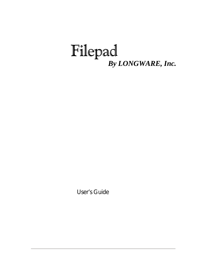## Filepad *By LONGWARE, Inc.*

User's Guide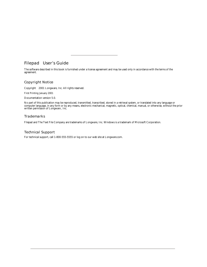#### Filepad<sup>®</sup> User's Guide

The software described in this book is furnished under a license agreement and may be used only in accordance with the terms of the agreement.

#### Copyright Notice

Copyright 2001 Longware, Inc. All rights reserved.

First Printing January 2001

Documentation version 5.0.

No part of this publication may be reproduced, transmitted, transcribed, stored in a retrieval system, or translated into any language or computer language, in any form or by any means, electronic mechanical, magnetic, optical, chemical, manual, or otherwise, without the prior written permission of Longware , Inc.

#### **Trademarks**

Filepad and The Text File Company are trademarks of Longware, Inc. Windows is a trademark of Microsoft Corporation.

#### Technical Support

For technical support, call 1-800-555-5555 or log on to our web site at Longware.com.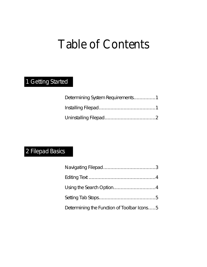# Table of Contents

### 1 Getting Started

| Determining System Requirements1 |
|----------------------------------|
|                                  |
|                                  |

### 2 Filepad Basics

| Determining the Function of Toolbar Icons5 |  |
|--------------------------------------------|--|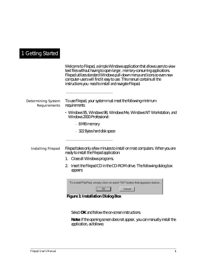### 1 Getting Started

|                                    | Welcome to Filepad, a simple Windows application that allows users to view<br>text files without having to open larger, memory-consuming applications.<br>Filepad utilizes standard Windows pull-down menus and icons so even new<br>computer-users will find it easy to use. This manual contains all the<br>instructions you need to install and navigate Filepad. |
|------------------------------------|----------------------------------------------------------------------------------------------------------------------------------------------------------------------------------------------------------------------------------------------------------------------------------------------------------------------------------------------------------------------|
| Determining System<br>Requirements | To use Filepad, your system must meet the following minimum<br>requirements:                                                                                                                                                                                                                                                                                         |
|                                    | • Windows 95, Windows 98, Windows Me, Windows NT Workstation, and<br>Windows 2000 Professional:                                                                                                                                                                                                                                                                      |
|                                    | - 8 MB memory                                                                                                                                                                                                                                                                                                                                                        |
|                                    | - 322 Bytes hard disk space                                                                                                                                                                                                                                                                                                                                          |
| Installing Filepad                 | Filepad takes only a few minutes to install on most computers. When you are<br>ready to install the Filepad application:                                                                                                                                                                                                                                             |
|                                    | 1. Close all Windows programs.                                                                                                                                                                                                                                                                                                                                       |
|                                    | Insert the Filepad CD in the CD-ROM drive. The following dialog box<br>2.<br>appears:                                                                                                                                                                                                                                                                                |
|                                    | To install FilePad, simply click on each "OK" button that appears below                                                                                                                                                                                                                                                                                              |
|                                    | $\overline{\mathsf{OK}}$<br>Cancel                                                                                                                                                                                                                                                                                                                                   |
|                                    | <b>Figure 1: Installation Dialog Box</b>                                                                                                                                                                                                                                                                                                                             |

Select **OK** and follow the on-screen instructions.

**Note:** If the opening screen does not appear, you can manually install the application, as follows: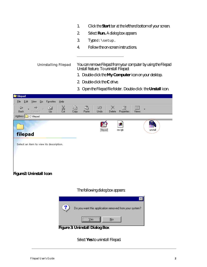- 1. Click the **Start** bar at the lefthand bottom of your screen.
- 2. Select **Run.** A dialog box appears
- 3. Type d:\setup.
- 4. Follow the on-screen instructions.

Uninstalling Filepad You can remove Filepad from your computer by using the Filepad Unstall feature. To uninstall Filepad:

- 1. Double-click the **My Computer** icon on your desktop.
- 2. Double-click the **C** drive.
- 3. Open the Filepad file folder. Double-click the **Unstall** icon.



#### The following dialog box appears:



Select **Yes** to uninstall Filepad.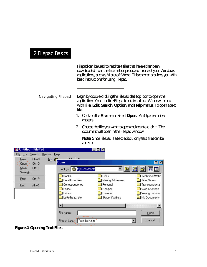### 2 Filepad Basics

Filepad can be used to read text files that have either been downloaded from the Internet or produced in one of your Windows applications, such as Microsoft Word. This chapter provides you with basic instructions for using Filepad.

Navigating Filepad Begin by double-clicking the Filepad desktop icon to open the application. You'll notice Filepad contains a basic Windows menu, with **File, Edit, Search, Option,** and **Help** menus. To open a text file:

- 1. Click on the **File** menu. Select **Open**. An Open window appears.
- 2. Choose the file you want to open and double-click it. The document will open in the Filepad window.

**Note:** Since Filepad is a text editor, only text files can be accessed.

| Untitled - FilePad                                                                                                            |                                     | $\blacksquare$ $\blacksquare$ $\times$ |                                  |
|-------------------------------------------------------------------------------------------------------------------------------|-------------------------------------|----------------------------------------|----------------------------------|
| Edit<br>Search<br>Eile                                                                                                        | <b>Options</b><br>He                |                                        |                                  |
| Ctrl+N<br>New<br>$C$ trl+ $O$<br>$Q$ pen                                                                                      | AB<br>eb.<br>œ<br><b>Open</b>       |                                        | $ ?  \times$                     |
| Ctrl+S<br>Save<br>Save As                                                                                                     | Look in: My Documents               | ▼ 图                                    | 囲画                               |
| Print<br>Ctrl+P                                                                                                               | <b>Books</b><br>Corel User Files    | Links<br>Mailing Addresses             | Technical Writin<br>Time Savers  |
| Exit<br>Alt+X                                                                                                                 | Correspondence<br>Faxes             | Personal<br>$\Box$ Recipes             | Transcendental<br>Web Channels   |
|                                                                                                                               | Labels<br>Letterhead, etc           | Resume<br>Student Writers              | Writing Seminars<br>My Documents |
|                                                                                                                               |                                     |                                        | $\blacktriangleright$            |
|                                                                                                                               | File name:                          |                                        | Qpen                             |
|                                                                                                                               | Text file (*.txt)<br>Files of type: |                                        | Cancel                           |
| $E_{\text{c}}^{\text{e}}$ and $\Lambda_{\text{c}}$ and $\Lambda_{\text{c}}$ and $\Lambda_{\text{c}}$ and $\Lambda_{\text{c}}$ |                                     |                                        |                                  |

**Figure 4: Opening Text Files**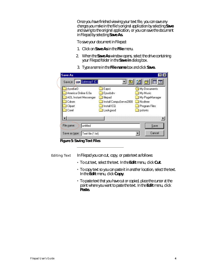Once you have finished viewing your text file, you can save any changes you make in the file's original application by selecting **Save** and saving to the original application, or you can save the document in Filepad by selecting **Save As.**

To save your document in Filepad:

- 1. Click on **Save As** in the **File** menu.
- 2. When the **Save As** window opens, select the drive containing your Filepad folder in the **Save in** dialog box.

| Acrobat3              | Eapci                  | My Documents   |
|-----------------------|------------------------|----------------|
| America Online 6.0a   | Epusbdrv               | My Music       |
| AOL Instant Messenger | l filepad              | My PageManager |
| Cdrom                 | Install CompuServe2000 | Ncdtree        |
| Clipart               | Install ICQ            | Program Files  |
| Corel                 | Lookgood               | psfonts        |
|                       |                        |                |

3. Type a name in the **File name** box and click **Save.** 

**Figure 5: Saving Text Files**

Editing Text In Filepad you can cut, copy, or paste text as follows:

- To cut text, select the text. In the **Edit** menu, click **Cut**.
- To copy text so you can paste it in another location, select the text. In the **Edit** menu, click **Copy**.
- To paste text that you have cut or copied, place the cursor at the point where you want to paste the text. In the **Edit** menu, click **Paste.**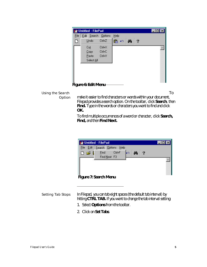

#### Using the Search

Option

To make it easier to find characters or words within your document, Filepad provides a search option. On the toolbar, click **Search**, then Find. Type in the words or characters you want to find and click **OK.** 

To find multiple occurrences of a word or character, click **Search, Find,** and then **Find Next.**

|              | File Edit Search Options Help |        |  |  |
|--------------|-------------------------------|--------|--|--|
| $D \ncong I$ | Eind<br>Find Next F3          | Ctrl+F |  |  |
|              |                               |        |  |  |
|              |                               |        |  |  |

Setting Tab Stops In Filepad, you can tab eight spaces (the default tab interval) by hitting **CTRL TAB.** If you want to change the tab interval setting:

- 1. Select **Options** from the toolbar.
- 2. Click on **Set Tabs**.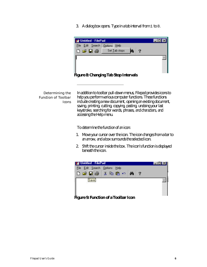3. A dialog box opens. Type in a tab interval from 1 to 8.



Determining the Function of Toolbar Icons In addition to toolbar pull-down menus, Filepad provides icons to help you perform various computer functions. These functions include creating a new document, opening an existing document, saving, printing, cutting, copying, pasting, undoing your last keystroke, searching for words, phrases, and characters, and accessing the Help menu.

To determine the function of an icon:

- 1. Move your cursor over the icon. The icon changes from a bar to an arrow, and a box surrounds the selected icon.
- 2. Shift the cursor inside the box. The icon's function is displayed beneath the icon.



**Figure 9: Function of a Toolbar Icon**